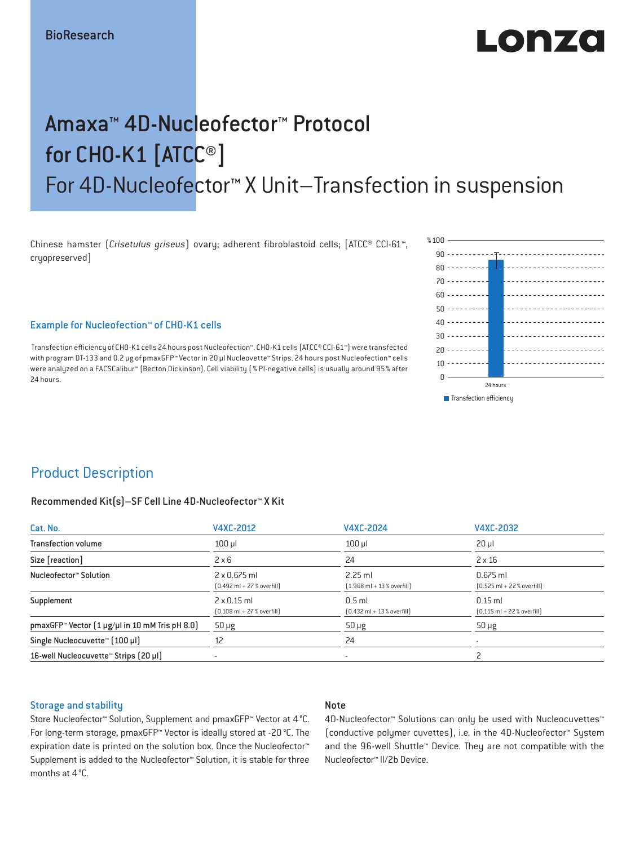# $\blacksquare$ o la  $\blacktriangleright$ zo

# Amaxa™ 4D-Nucleofector™ Protocol for CHO-K1 [ATCC®] For 4D-Nucleofector™ X Unit–Transfection in suspension

Chinese hamster (*Crisetulus griseus*) ovary; adherent fibroblastoid cells; [ATCC® CCl-61™, cryopreserved]

 $80 - - - - - - - -$ 70  $60 - - - - - - - 50 - - - - - - - - 40 - - - - - - - - 30 - - - - - - - - 20 - 222 - 222$  $10 - - - - - - - - -$ 0 24 hours  $\blacksquare$  Transfection efficiency

90

% $100 -$ 

### Example for Nucleofection™ of CHO-K1 cells

 Transfection efficiency of CHO-K1 cells 24 hours post Nucleofection™. CHO-K1 cells (ATCC® CCI-61™) were transfected with program DT-133 and 0.2 μg of pmaxGFP™ Vector in 20 μl Nucleovette™ Strips. 24 hours post Nucleofection™ cells were analyzed on a FACSCalibur™ (Becton Dickinson). Cell viability (% PI-negative cells) is usually around 95% after 24 hours.

### Product Description

#### Recommended Kit(s)–SF Cell Line 4D-Nucleofector™ X Kit

| Cat. No.                                                           | V4XC-2012                                                           | V4XC-2024                                                | V4XC-2032                                                  |  |
|--------------------------------------------------------------------|---------------------------------------------------------------------|----------------------------------------------------------|------------------------------------------------------------|--|
| <b>Transfection volume</b>                                         | $100$ $\mu$                                                         | $100$ $\mu$                                              | $20 \mu$                                                   |  |
| Size [reaction]                                                    | $2 \times 6$                                                        | 24                                                       | $2 \times 16$                                              |  |
| Nucleofector™ Solution                                             | $2 \times 0.675$ ml<br>$[0.492 \text{ ml} + 27 \text{ %} overfill]$ | $2.25$ ml<br>$[1.968 \text{ ml} + 13 % \text{overfill}]$ | $0.675$ ml<br>$[0.525 \text{ ml} + 22 \text{ % overfill}]$ |  |
| Supplement                                                         | $2 \times 0.15$ ml<br>$[0.108 \text{ ml} + 27 \text{ %} overfill]$  | $0.5$ ml<br>$[0.432 \text{ ml} + 13 \text{ %} overfill]$ | $0.15$ ml<br>$[0.115 \text{ ml} + 22 \text{ % overfill}]$  |  |
| pmaxGFP <sup>*</sup> Vector $(1 \mu g/\mu l$ in 10 mM Tris pH 8.0) | $50 \mu g$                                                          | $50 \mu g$                                               | $50 \mu g$                                                 |  |
| Single Nucleocuvette™ [100 µl]                                     | 12                                                                  | 24                                                       |                                                            |  |
| 16-well Nucleocuvette <sup>™</sup> Strips [20 µl]                  | $\overline{\phantom{a}}$                                            | $\sim$                                                   |                                                            |  |

#### Storage and stability

### Note

Store Nucleofector™ Solution, Supplement and pmaxGFP™ Vector at 4°C. For long-term storage, pmaxGFP™ Vector is ideally stored at -20 °C. The expiration date is printed on the solution box. Once the Nucleofector™ Supplement is added to the Nucleofector™ Solution, it is stable for three months at 4°C.

4D-Nucleofector™ Solutions can only be used with Nucleocuvettes™ (conductive polymer cuvettes), i.e. in the 4D-Nucleofector™ System and the 96-well Shuttle™ Device. They are not compatible with the Nucleofector™ II/2b Device.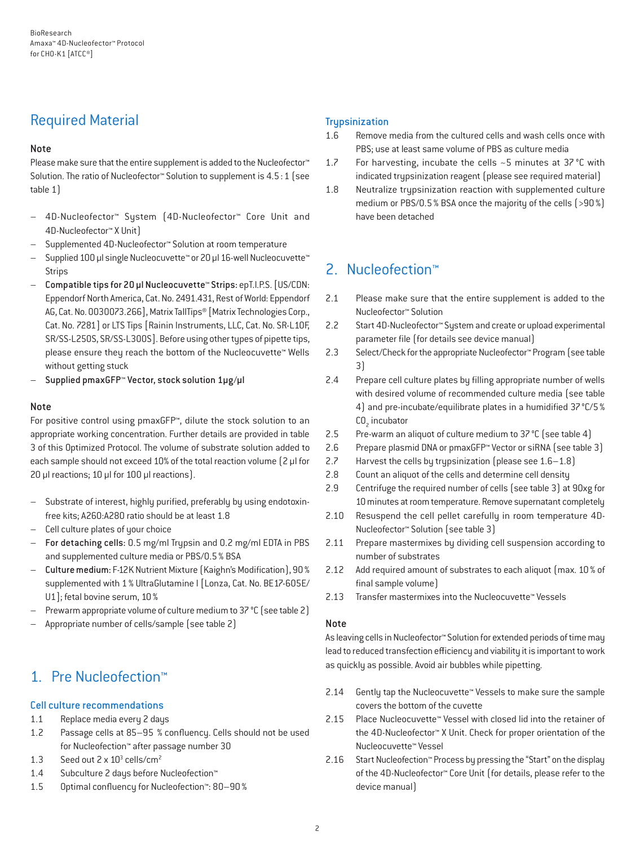## Required Material

### Note

Please make sure that the entire supplement is added to the Nucleofector<sup>™</sup> Solution. The ratio of Nucleofector™ Solution to supplement is 4.5:1 (see table 1)

- 4D-Nucleofector™ System (4D-Nucleofector™ Core Unit and 4D-Nucleofector™ X Unit)
- Supplemented 4D-Nucleofector™ Solution at room temperature
- Supplied 100 µl single Nucleocuvette™ or 20 µl 16-well Nucleocuvette™ Strips
- Compatible tips for 20 µl Nucleocuvette™ Strips: epT.I.P.S. [US/CDN: Eppendorf North America, Cat. No. 2491.431, Rest of World: Eppendorf AG, Cat. No. 0030073.266], Matrix TallTips® [Matrix Technologies Corp., Cat. No. 7281] or LTS Tips [Rainin Instruments, LLC, Cat. No. SR-L10F, SR/SS-L250S, SR/SS-L300S]. Before using other types of pipette tips, please ensure they reach the bottom of the Nucleocuvette™ Wells without getting stuck
- Supplied pmaxGFP™ Vector, stock solution 1µg/µl

### Note

For positive control using pmaxGFP™, dilute the stock solution to an appropriate working concentration. Further details are provided in table 3 of this Optimized Protocol. The volume of substrate solution added to each sample should not exceed 10% of the total reaction volume [2 µl for 20 µl reactions; 10 µl for 100 µl reactions).

- Substrate of interest, highly purified, preferably by using endotoxinfree kits; A260:A280 ratio should be at least 1.8
- Cell culture plates of your choice
- For detaching cells: 0.5 mg/ml Trypsin and 0.2 mg/ml EDTA in PBS and supplemented culture media or PBS/0.5% BSA
- Culture medium: F-12K Nutrient Mixture (Kaighn's Modification), 90% supplemented with 1% UltraGlutamine I [Lonza, Cat. No. BE17-605E/ U1]; fetal bovine serum, 10%
- Prewarm appropriate volume of culture medium to 37 °C (see table 2)
- Appropriate number of cells/sample (see table 2)

## 1. Pre Nucleofection™

### Cell culture recommendations

- 1.1 Replace media every 2 days
- 1.2 Passage cells at 85–95 % confluency. Cells should not be used for Nucleofection™ after passage number 30
- 1.3 Seed out  $2 \times 10^3$  cells/cm<sup>2</sup>
- 1.4 Subculture 2 days before Nucleofection™
- 1.5 Optimal confluency for Nucleofection™: 80–90%

### **Trypsinization**

- 1.6 Remove media from the cultured cells and wash cells once with PBS; use at least same volume of PBS as culture media
- 1.7 For harvesting, incubate the cells ~5 minutes at 37 °C with indicated trypsinization reagent (please see required material)
- 1.8 Neutralize trypsinization reaction with supplemented culture medium or PBS/0.5% BSA once the majority of the cells (>90%) have been detached

# 2. Nucleofection™

- 2.1 Please make sure that the entire supplement is added to the Nucleofector™ Solution
- 2.2 Start 4D-Nucleofector™ System and create or upload experimental parameter file (for details see device manual)
- 2.3 Select/Check for the appropriate Nucleofector™ Program (see table 3)
- 2.4 Prepare cell culture plates by filling appropriate number of wells with desired volume of recommended culture media (see table 4) and pre-incubate/equilibrate plates in a humidified 37°C/5%  $CO<sub>2</sub>$  incubator
- 2.5 Pre-warm an aliquot of culture medium to 37°C (see table 4)
- 2.6 Prepare plasmid DNA or pmaxGFP™ Vector or siRNA (see table 3)
- 2.7 Harvest the cells by trypsinization (please see 1.6–1.8)
- 2.8 Count an aliquot of the cells and determine cell density
- 2.9 Centrifuge the required number of cells (see table 3) at 90xg for 10 minutes at room temperature. Remove supernatant completely
- 2.10 Resuspend the cell pellet carefully in room temperature 4D-Nucleofector™ Solution (see table 3)
- 2.11 Prepare mastermixes by dividing cell suspension according to number of substrates
- 2.12 Add required amount of substrates to each aliquot (max. 10 % of final sample volume)
- 2.13 Transfer mastermixes into the Nucleocuvette™ Vessels

### Note

As leaving cells in Nucleofector™ Solution for extended periods of time may lead to reduced transfection efficiency and viability it is important to work as quickly as possible. Avoid air bubbles while pipetting.

- 2.14 Gently tap the Nucleocuvette™ Vessels to make sure the sample covers the bottom of the cuvette
- 2.15 Place Nucleocuvette™ Vessel with closed lid into the retainer of the 4D-Nucleofector™ X Unit. Check for proper orientation of the Nucleocuvette™ Vessel
- 2.16 Start Nucleofection™ Process by pressing the "Start" on the display of the 4D-Nucleofector™ Core Unit (for details, please refer to the device manual)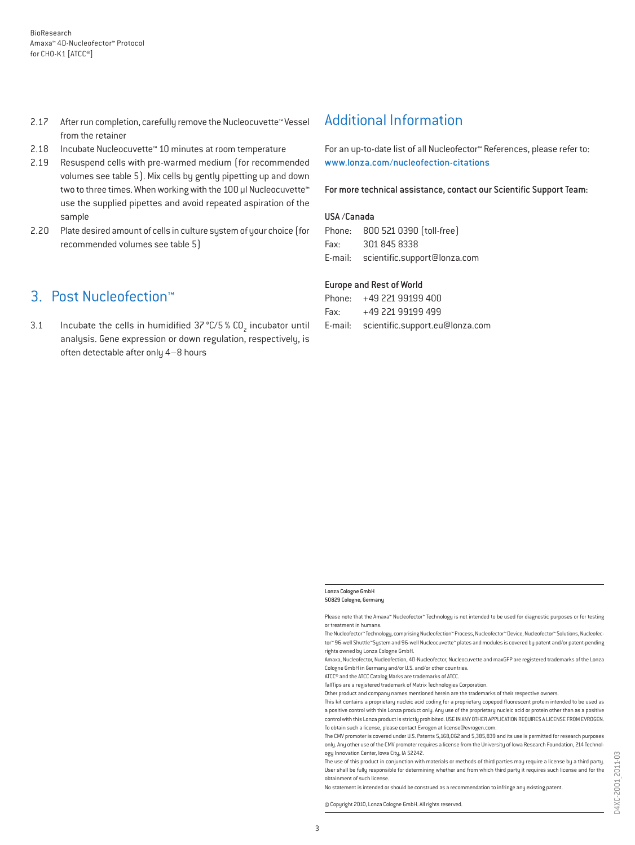- 2.17 After run completion, carefully remove the Nucleocuvette™ Vessel from the retainer
- 2.18 Incubate Nucleocuvette™ 10 minutes at room temperature
- 2.19 Resuspend cells with pre-warmed medium (for recommended volumes see table 5). Mix cells by gently pipetting up and down two to three times. When working with the 100 µl Nucleocuvette™ use the supplied pipettes and avoid repeated aspiration of the sample
- 2.20 Plate desired amount of cells in culture system of your choice (for recommended volumes see table 5)

### 3. Post Nucleofection™

3.1 Incubate the cells in humidified  $37^{\circ}$ C/5 % CO<sub>2</sub> incubator until analysis. Gene expression or down regulation, respectively, is often detectable after only 4–8 hours

### Additional Information

For an up-to-date list of all Nucleofector™ References, please refer to: www.lonza.com/nucleofection-citations

For more technical assistance, contact our Scientific Support Team:

#### USA /Canada

|      | Phone: 800 521 0390 [toll-free]      |
|------|--------------------------------------|
| Fax: | 301 845 8338                         |
|      | E-mail: scientific.support@lonza.com |

#### Europe and Rest of World

|          | Phone: +49 221 99199 400                |
|----------|-----------------------------------------|
| Fax: Fax | +49 221 99199 499                       |
|          | E-mail: scientific.support.eu@lonza.com |

#### Lonza Cologne GmbH 50829 Cologne, Germany

Please note that the Amaxa™ Nucleofector™ Technology is not intended to be used for diagnostic purposes or for testing or treatment in humans.

The Nucleofector™ Technology, comprising Nucleofection™ Process, Nucleofector™ Device, Nucleofector™ Solutions, Nucleofector™ 96-well Shuttle™System and 96-well Nucleocuvette™ plates and modules is covered by patent and/or patent-pending rights owned by Lonza Cologne GmbH.

Amaxa, Nucleofector, Nucleofection, 4D-Nucleofector, Nucleocuvette and maxGFP are registered trademarks of the Lonza Cologne GmbH in Germany and/or U.S. and/or other countries.

ATCC® and the ATCC Catalog Marks are trademarks of ATCC.

TallTips are a registered trademark of Matrix Technologies Corporation.

Other product and company names mentioned herein are the trademarks of their respective owners.

This kit contains a proprietary nucleic acid coding for a proprietary copepod fluorescent protein intended to be used as a positive control with this Lonza product only. Any use of the proprietary nucleic acid or protein other than as a positive control with this Lonza product is strictly prohibited. USE IN ANY OTHER APPLICATION REQUIRES A LICENSE FROM EVROGEN. To obtain such a license, please contact Evrogen at license@evrogen.com.

The CMV promoter is covered under U.S. Patents 5,168,062 and 5,385,839 and its use is permitted for research purposes only. Any other use of the CMV promoter requires a license from the University of Iowa Research Foundation, 214 Technology Innovation Center, Iowa City, IA 52242.

The use of this product in conjunction with materials or methods of third parties may require a license by a third party. User shall be fully responsible for determining whether and from which third party it requires such license and for the obtainment of such license.

No statement is intended or should be construed as a recommendation to infringe any existing patent.

© Copyright 2010, Lonza Cologne GmbH. All rights reserved.